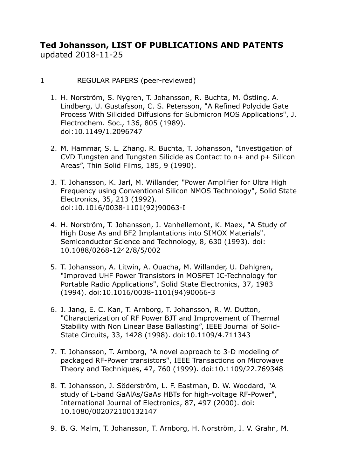# **Ted Johansson, LIST OF PUBLICATIONS AND PATENTS**  updated 2018-11-25

- 1 REGULAR PAPERS (peer-reviewed)
	- 1. H. Norström, S. Nygren, T. Johansson, R. Buchta, M. Östling, A. Lindberg, U. Gustafsson, C. S. Petersson, "A Refined Polycide Gate Process With Silicided Diffusions for Submicron MOS Applications", J. Electrochem. Soc., 136, 805 (1989). doi:10.1149/1.2096747
	- 2. M. Hammar, S. L. Zhang, R. Buchta, T. Johansson, "Investigation of CVD Tungsten and Tungsten Silicide as Contact to n+ and p+ Silicon Areas", Thin Solid Films, 185, 9 (1990).
	- 3. T. Johansson, K. Jarl, M. Willander, "Power Amplifier for Ultra High Frequency using Conventional Silicon NMOS Technology", Solid State Electronics, 35, 213 (1992). doi:10.1016/0038-1101(92)90063-I
	- 4. H. Norström, T. Johansson, J. Vanhellemont, K. Maex, "A Study of High Dose As and BF2 Implantations into SIMOX Materials". Semiconductor Science and Technology, 8, 630 (1993). doi: 10.1088/0268-1242/8/5/002
	- 5. T. Johansson, A. Litwin, A. Ouacha, M. Willander, U. Dahlgren, "Improved UHF Power Transistors in MOSFET IC-Technology for Portable Radio Applications", Solid State Electronics, 37, 1983 (1994). doi:10.1016/0038-1101(94)90066-3
	- 6. J. Jang, E. C. Kan, T. Arnborg, T. Johansson, R. W. Dutton, "Characterization of RF Power BJT and Improvement of Thermal Stability with Non Linear Base Ballasting", IEEE Journal of Solid-State Circuits, 33, 1428 (1998). doi:10.1109/4.711343
	- 7. T. Johansson, T. Arnborg, "A novel approach to 3-D modeling of packaged RF-Power transistors", IEEE Transactions on Microwave Theory and Techniques, 47, 760 (1999). doi:10.1109/22.769348
	- 8. T. Johansson, J. Söderström, L. F. Eastman, D. W. Woodard, "A study of L-band GaAlAs/GaAs HBTs for high-voltage RF-Power", International Journal of Electronics, 87, 497 (2000). doi: 10.1080/002072100132147
	- 9. B. G. Malm, T. Johansson, T. Arnborg, H. Norström, J. V. Grahn, M.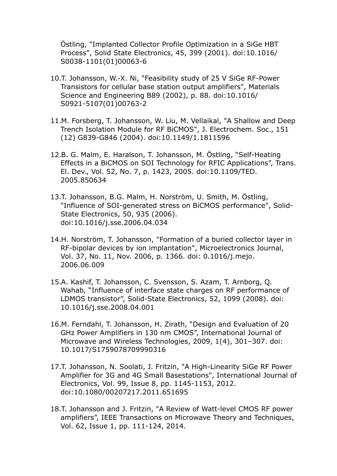Östling, "Implanted Collector Profile Optimization in a SiGe HBT Process", Solid State Electronics, 45, 399 (2001). doi:10.1016/ S0038-1101(01)00063-6

- 10.T. Johansson, W.-X. Ni, "Feasibility study of 25 V SiGe RF-Power Transistors for cellular base station output amplifiers", Materials Science and Engineering B89 (2002), p. 88. doi:10.1016/ S0921-5107(01)00763-2
- 11.M. Forsberg, T. Johansson, W. Liu, M. Vellaikal, "A Shallow and Deep Trench Isolation Module for RF BiCMOS", J. Electrochem. Soc., 151 (12) G839-G846 (2004). doi:10.1149/1.1811596
- 12.B. G. Malm, E. Haralson, T. Johansson, M. Östling, "Self-Heating Effects in a BiCMOS on SOI Technology for RFIC Applications", Trans. El. Dev., Vol. 52, No. 7, p. 1423, 2005. doi:10.1109/TED. 2005.850634
- 13.T. Johansson, B.G. Malm, H. Norström, U. Smith, M. Östling, "Influence of SOI-generated stress on BiCMOS performance", Solid-State Electronics, 50, 935 (2006). doi:10.1016/j.sse.2006.04.034
- 14.H. Norström, T. Johansson, "Formation of a buried collector layer in RF-bipolar devices by ion implantation", Microelectronics Journal, Vol. 37, No. 11, Nov. 2006, p. 1366. doi: 0.1016/j.mejo. 2006.06.009
- 15.A. Kashif, T. Johansson, C. Svensson, S. Azam, T. Arnborg, Q. Wahab, "Influence of interface state charges on RF performance of LDMOS transistor", Solid-State Electronics, 52, 1099 (2008). doi: 10.1016/j.sse.2008.04.001
- 16.M. Ferndahl, T. Johansson, H. Zirath, "Design and Evaluation of 20 GHz Power Amplifiers in 130 nm CMOS", International Journal of Microwave and Wireless Technologies, 2009, 1(4), 301–307. doi: 10.1017/S1759078709990316
- 17.T. Johansson, N. Soolati, J. Fritzin, "A High-Linearity SiGe RF Power Amplifier for 3G and 4G Small Basestations", International Journal of Electronics, Vol. 99, Issue 8, pp. 1145-1153, 2012. doi:10.1080/00207217.2011.651695
- 18.T. Johansson and J. Fritzin, "A Review of Watt-level CMOS RF power amplifiers", IEEE Transactions on Microwave Theory and Techniques, Vol. 62, Issue 1, pp. 111-124, 2014.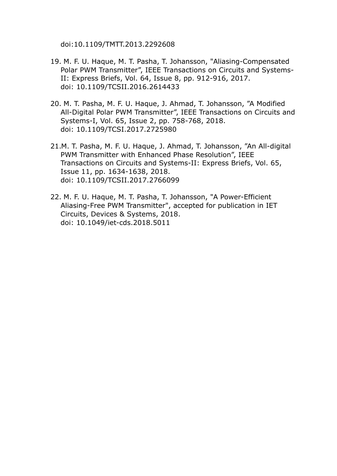doi:10.1109/TMTT.2013.2292608

- 19. M. F. U. Haque, M. T. Pasha, T. Johansson, "Aliasing-Compensated Polar PWM Transmitter", IEEE Transactions on Circuits and Systems-II: Express Briefs, Vol. 64, Issue 8, pp. 912-916, 2017. doi: 10.1109/TCSII.2016.2614433
- 20. M. T. Pasha, M. F. U. Haque, J. Ahmad, T. Johansson, "A Modified All-Digital Polar PWM Transmitter", IEEE Transactions on Circuits and Systems-I, Vol. 65, Issue 2, pp. 758-768, 2018. doi: 10.1109/TCSI.2017.2725980
- 21.M. T. Pasha, M. F. U. Haque, J. Ahmad, T. Johansson, "An All-digital PWM Transmitter with Enhanced Phase Resolution", IEEE Transactions on Circuits and Systems-II: Express Briefs, Vol. 65, Issue 11, pp. 1634-1638, 2018. doi: 10.1109/TCSII.2017.2766099
- 22. M. F. U. Haque, M. T. Pasha, T. Johansson, "A Power-Efficient Aliasing-Free PWM Transmitter", accepted for publication in IET Circuits, Devices & Systems, 2018. doi: 10.1049/iet-cds.2018.5011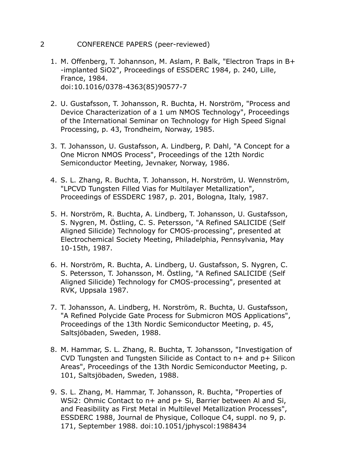### 2 CONFERENCE PAPERS (peer-reviewed)

- 1. M. Offenberg, T. Johannson, M. Aslam, P. Balk, "Electron Traps in B+ -implanted SiO2", Proceedings of ESSDERC 1984, p. 240, Lille, France, 1984. doi:10.1016/0378-4363(85)90577-7
- 2. U. Gustafsson, T. Johansson, R. Buchta, H. Norström, "Process and Device Characterization of a 1 um NMOS Technology", Proceedings of the International Seminar on Technology for High Speed Signal Processing, p. 43, Trondheim, Norway, 1985.
- 3. T. Johansson, U. Gustafsson, A. Lindberg, P. Dahl, "A Concept for a One Micron NMOS Process", Proceedings of the 12th Nordic Semiconductor Meeting, Jevnaker, Norway, 1986.
- 4. S. L. Zhang, R. Buchta, T. Johansson, H. Norström, U. Wennström, "LPCVD Tungsten Filled Vias for Multilayer Metallization", Proceedings of ESSDERC 1987, p. 201, Bologna, Italy, 1987.
- 5. H. Norström, R. Buchta, A. Lindberg, T. Johansson, U. Gustafsson, S. Nygren, M. Östling, C. S. Petersson, "A Refined SALICIDE (Self Aligned Silicide) Technology for CMOS-processing", presented at Electrochemical Society Meeting, Philadelphia, Pennsylvania, May 10-15th, 1987.
- 6. H. Norström, R. Buchta, A. Lindberg, U. Gustafsson, S. Nygren, C. S. Petersson, T. Johansson, M. Östling, "A Refined SALICIDE (Self Aligned Silicide) Technology for CMOS-processing", presented at RVK, Uppsala 1987.
- 7. T. Johansson, A. Lindberg, H. Norström, R. Buchta, U. Gustafsson, "A Refined Polycide Gate Process for Submicron MOS Applications", Proceedings of the 13th Nordic Semiconductor Meeting, p. 45, Saltsjöbaden, Sweden, 1988.
- 8. M. Hammar, S. L. Zhang, R. Buchta, T. Johansson, "Investigation of CVD Tungsten and Tungsten Silicide as Contact to n+ and p+ Silicon Areas", Proceedings of the 13th Nordic Semiconductor Meeting, p. 101, Saltsjöbaden, Sweden, 1988.
- 9. S. L. Zhang, M. Hammar, T. Johansson, R. Buchta, "Properties of WSi2: Ohmic Contact to n+ and p+ Si, Barrier between Al and Si, and Feasibility as First Metal in Multilevel Metallization Processes", ESSDERC 1988, Journal de Physique, Colloque C4, suppl. no 9, p. 171, September 1988. doi:10.1051/jphyscol:1988434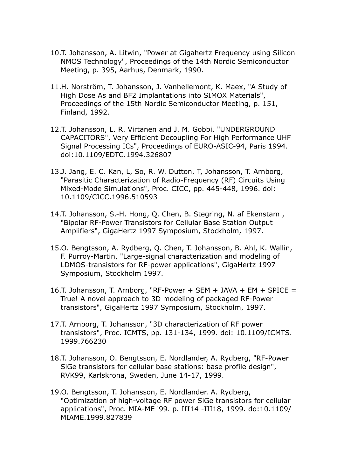- 10.T. Johansson, A. Litwin, "Power at Gigahertz Frequency using Silicon NMOS Technology", Proceedings of the 14th Nordic Semiconductor Meeting, p. 395, Aarhus, Denmark, 1990.
- 11.H. Norström, T. Johansson, J. Vanhellemont, K. Maex, "A Study of High Dose As and BF2 Implantations into SIMOX Materials", Proceedings of the 15th Nordic Semiconductor Meeting, p. 151, Finland, 1992.
- 12.T. Johansson, L. R. Virtanen and J. M. Gobbi, "UNDERGROUND CAPACITORS", Very Efficient Decoupling For High Performance UHF Signal Processing ICs", Proceedings of EURO-ASIC-94, Paris 1994. doi:10.1109/EDTC.1994.326807
- 13.J. Jang, E. C. Kan, L, So, R. W. Dutton, T, Johansson, T. Arnborg, "Parasitic Characterization of Radio-Frequency (RF) Circuits Using Mixed-Mode Simulations", Proc. CICC, pp. 445-448, 1996. doi: 10.1109/CICC.1996.510593
- 14.T. Johansson, S.-H. Hong, Q. Chen, B. Stegring, N. af Ekenstam , "Bipolar RF-Power Transistors for Cellular Base Station Output Amplifiers", GigaHertz 1997 Symposium, Stockholm, 1997.
- 15.O. Bengtsson, A. Rydberg, Q. Chen, T. Johansson, B. Ahl, K. Wallin, F. Purroy-Martin, "Large-signal characterization and modeling of LDMOS-transistors for RF-power applications", GigaHertz 1997 Symposium, Stockholm 1997.
- 16.T. Johansson, T. Arnborg, "RF-Power + SEM + JAVA + EM + SPICE = True! A novel approach to 3D modeling of packaged RF-Power transistors", GigaHertz 1997 Symposium, Stockholm, 1997.
- 17.T. Arnborg, T. Johansson, "3D characterization of RF power transistors", Proc. ICMTS, pp. 131-134, 1999. doi: 10.1109/ICMTS. 1999.766230
- 18.T. Johansson, O. Bengtsson, E. Nordlander, A. Rydberg, "RF-Power SiGe transistors for cellular base stations: base profile design", RVK99, Karlskrona, Sweden, June 14-17, 1999.
- 19.O. Bengtsson, T. Johansson, E. Nordlander. A. Rydberg, "Optimization of high-voltage RF power SiGe transistors for cellular applications", Proc. MIA-ME '99. p. III14 -III18, 1999. do:10.1109/ MIAME.1999.827839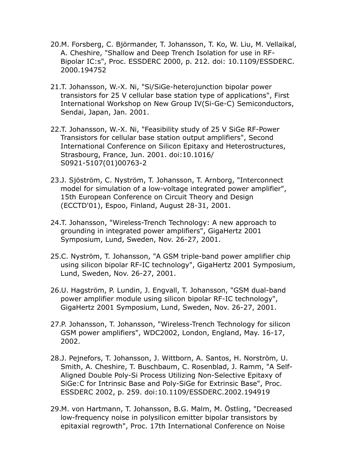- 20.M. Forsberg, C. Björmander, T. Johansson, T. Ko, W. Liu, M. Vellaikal, A. Cheshire, "Shallow and Deep Trench Isolation for use in RF-Bipolar IC:s", Proc. ESSDERC 2000, p. 212. doi: 10.1109/ESSDERC. 2000.194752
- 21.T. Johansson, W.-X. Ni, "Si/SiGe-heterojunction bipolar power transistors for 25 V cellular base station type of applications", First International Workshop on New Group IV(Si-Ge-C) Semiconductors, Sendai, Japan, Jan. 2001.
- 22.T. Johansson, W.-X. Ni, "Feasibility study of 25 V SiGe RF-Power Transistors for cellular base station output amplifiers", Second International Conference on Silicon Epitaxy and Heterostructures, Strasbourg, France, Jun. 2001. doi:10.1016/ S0921-5107(01)00763-2
- 23.J. Sjöström, C. Nyström, T. Johansson, T. Arnborg, "Interconnect model for simulation of a low-voltage integrated power amplifier", 15th European Conference on Circuit Theory and Design (ECCTD'01), Espoo, Finland, August 28-31, 2001.
- 24.T. Johansson, "Wireless-Trench Technology: A new approach to grounding in integrated power amplifiers", GigaHertz 2001 Symposium, Lund, Sweden, Nov. 26-27, 2001.
- 25.C. Nyström, T. Johansson, "A GSM triple-band power amplifier chip using silicon bipolar RF-IC technology", GigaHertz 2001 Symposium, Lund, Sweden, Nov. 26-27, 2001.
- 26.U. Hagström, P. Lundin, J. Engvall, T. Johansson, "GSM dual-band power amplifier module using silicon bipolar RF-IC technology", GigaHertz 2001 Symposium, Lund, Sweden, Nov. 26-27, 2001.
- 27.P. Johansson, T. Johansson, "Wireless-Trench Technology for silicon GSM power amplifiers", WDC2002, London, England, May. 16-17, 2002.
- 28.J. Pejnefors, T. Johansson, J. Wittborn, A. Santos, H. Norström, U. Smith, A. Cheshire, T. Buschbaum, C. Rosenblad, J. Ramm, "A Self-Aligned Double Poly-Si Process Utilizing Non-Selective Epitaxy of SiGe:C for Intrinsic Base and Poly-SiGe for Extrinsic Base", Proc. ESSDERC 2002, p. 259. doi:10.1109/ESSDERC.2002.194919
- 29.M. von Hartmann, T. Johansson, B.G. Malm, M. Östling, "Decreased low-frequency noise in polysilicon emitter bipolar transistors by epitaxial regrowth", Proc. 17th International Conference on Noise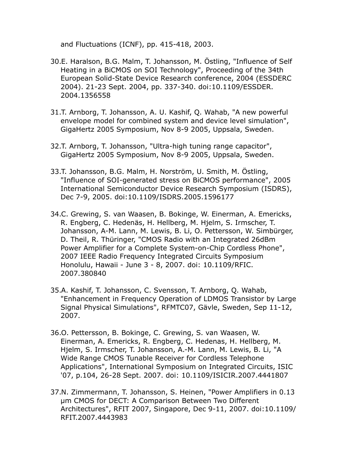and Fluctuations (ICNF), pp. 415-418, 2003.

- 30.E. Haralson, B.G. Malm, T. Johansson, M. Östling, "Influence of Self Heating in a BiCMOS on SOI Technology", Proceeding of the 34th European Solid-State Device Research conference, 2004 (ESSDERC 2004). 21-23 Sept. 2004, pp. 337-340. doi:10.1109/ESSDER. 2004.1356558
- 31.T. Arnborg, T. Johansson, A. U. Kashif, Q. Wahab, "A new powerful envelope model for combined system and device level simulation", GigaHertz 2005 Symposium, Nov 8-9 2005, Uppsala, Sweden.
- 32.T. Arnborg, T. Johansson, "Ultra-high tuning range capacitor", GigaHertz 2005 Symposium, Nov 8-9 2005, Uppsala, Sweden.
- 33.T. Johansson, B.G. Malm, H. Norström, U. Smith, M. Östling, "Influence of SOI-generated stress on BiCMOS performance", 2005 International Semiconductor Device Research Symposium (ISDRS), Dec 7-9, 2005. doi:10.1109/ISDRS.2005.1596177
- 34.C. Grewing, S. van Waasen, B. Bokinge, W. Einerman, A. Emericks, R. Engberg, C. Hedenäs, H. Hellberg, M. Hjelm, S. Irmscher, T. Johansson, A-M. Lann, M. Lewis, B. Li, O. Pettersson, W. Simbürger, D. Theil, R. Thüringer, "CMOS Radio with an Integrated 26dBm Power Amplifier for a Complete System-on-Chip Cordless Phone", 2007 IEEE Radio Frequency Integrated Circuits Symposium Honolulu, Hawaii - June 3 - 8, 2007. doi: 10.1109/RFIC. 2007.380840
- 35.A. Kashif, T. Johansson, C. Svensson, T. Arnborg, Q. Wahab, "Enhancement in Frequency Operation of LDMOS Transistor by Large Signal Physical Simulations", RFMTC07, Gävle, Sweden, Sep 11-12, 2007.
- 36.O. Pettersson, B. Bokinge, C. Grewing, S. van Waasen, W. Einerman, A. Emericks, R. Engberg, C. Hedenas, H. Hellberg, M. Hjelm, S. Irmscher, T. Johansson, A.-M. Lann, M. Lewis, B. Li, "A Wide Range CMOS Tunable Receiver for Cordless Telephone Applications", International Symposium on Integrated Circuits, ISIC '07, p.104, 26-28 Sept. 2007. doi: 10.1109/ISICIR.2007.4441807
- 37.N. Zimmermann, T. Johansson, S. Heinen, "Power Amplifiers in 0.13 µm CMOS for DECT: A Comparison Between Two Different Architectures", RFIT 2007, Singapore, Dec 9-11, 2007. doi:10.1109/ RFIT.2007.4443983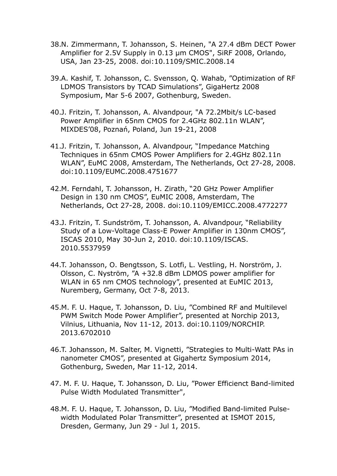- 38.N. Zimmermann, T. Johansson, S. Heinen, "A 27.4 dBm DECT Power Amplifier for 2.5V Supply in 0.13 µm CMOS", SiRF 2008, Orlando, USA, Jan 23-25, 2008. doi:10.1109/SMIC.2008.14
- 39.A. Kashif, T. Johansson, C. Svensson, Q. Wahab, "Optimization of RF LDMOS Transistors by TCAD Simulations", GigaHertz 2008 Symposium, Mar 5-6 2007, Gothenburg, Sweden.
- 40.J. Fritzin, T. Johansson, A. Alvandpour, "A 72.2Mbit/s LC-based Power Amplifier in 65nm CMOS for 2.4GHz 802.11n WLAN", MIXDES'08, Poznań, Poland, Jun 19-21, 2008
- 41.J. Fritzin, T. Johansson, A. Alvandpour, "Impedance Matching Techniques in 65nm CMOS Power Amplifiers for 2.4GHz 802.11n WLAN", EuMC 2008, Amsterdam, The Netherlands, Oct 27-28, 2008. doi:10.1109/EUMC.2008.4751677
- 42.M. Ferndahl, T. Johansson, H. Zirath, "20 GHz Power Amplifier Design in 130 nm CMOS", EuMIC 2008, Amsterdam, The Netherlands, Oct 27-28, 2008. doi:10.1109/EMICC.2008.4772277
- 43.J. Fritzin, T. Sundström, T. Johansson, A. Alvandpour, "Reliability Study of a Low-Voltage Class-E Power Amplifier in 130nm CMOS", ISCAS 2010, May 30-Jun 2, 2010. doi:10.1109/ISCAS. 2010.5537959
- 44.T. Johansson, O. Bengtsson, S. Lotfi, L. Vestling, H. Norström, J. Olsson, C. Nyström, "A +32.8 dBm LDMOS power amplifier for WLAN in 65 nm CMOS technology", presented at EuMIC 2013, Nuremberg, Germany, Oct 7-8, 2013.
- 45.M. F. U. Haque, T. Johansson, D. Liu, "Combined RF and Multilevel PWM Switch Mode Power Amplifier", presented at Norchip 2013, Vilnius, Lithuania, Nov 11-12, 2013. doi:10.1109/NORCHIP. 2013.6702010
- 46.T. Johansson, M. Salter, M. Vignetti, "Strategies to Multi-Watt PAs in nanometer CMOS", presented at Gigahertz Symposium 2014, Gothenburg, Sweden, Mar 11-12, 2014.
- 47. M. F. U. Haque, T. Johansson, D. Liu, "Power Efficienct Band-limited Pulse Width Modulated Transmitter",
- 48.M. F. U. Haque, T. Johansson, D. Liu, "Modified Band-limited Pulsewidth Modulated Polar Transmitter", presented at ISMOT 2015, Dresden, Germany, Jun 29 - Jul 1, 2015.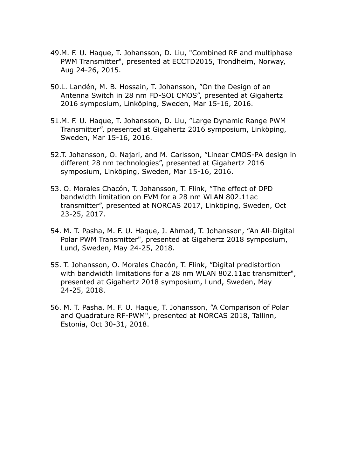- 49.M. F. U. Haque, T. Johansson, D. Liu, "Combined RF and multiphase PWM Transmitter", presented at ECCTD2015, Trondheim, Norway, Aug 24-26, 2015.
- 50.L. Landén, M. B. Hossain, T. Johansson, "On the Design of an Antenna Switch in 28 nm FD-SOI CMOS", presented at Gigahertz 2016 symposium, Linköping, Sweden, Mar 15-16, 2016.
- 51.M. F. U. Haque, T. Johansson, D. Liu, "Large Dynamic Range PWM Transmitter", presented at Gigahertz 2016 symposium, Linköping, Sweden, Mar 15-16, 2016.
- 52.T. Johansson, O. Najari, and M. Carlsson, "Linear CMOS-PA design in different 28 nm technologies", presented at Gigahertz 2016 symposium, Linköping, Sweden, Mar 15-16, 2016.
- 53. O. Morales Chacón, T. Johansson, T. Flink, "The effect of DPD bandwidth limitation on EVM for a 28 nm WLAN 802.11ac transmitter", presented at NORCAS 2017, Linköping, Sweden, Oct 23-25, 2017.
- 54. M. T. Pasha, M. F. U. Haque, J. Ahmad, T. Johansson, "An All-Digital Polar PWM Transmitter", presented at Gigahertz 2018 symposium, Lund, Sweden, May 24-25, 2018.
- 55. T. Johansson, O. Morales Chacón, T. Flink, "Digital predistortion with bandwidth limitations for a 28 nm WLAN 802.11ac transmitter", presented at Gigahertz 2018 symposium, Lund, Sweden, May 24-25, 2018.
- 56. M. T. Pasha, M. F. U. Haque, T. Johansson, "A Comparison of Polar and Quadrature RF-PWM", presented at NORCAS 2018, Tallinn, Estonia, Oct 30-31, 2018.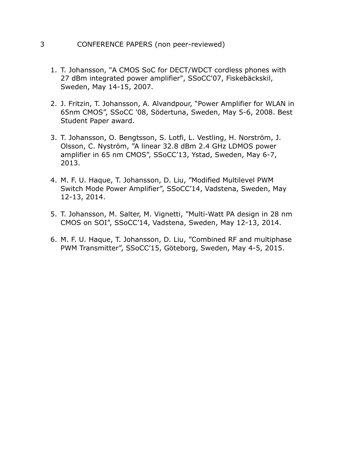#### 3 CONFERENCE PAPERS (non peer-reviewed)

- 1. T. Johansson, "A CMOS SoC for DECT/WDCT cordless phones with 27 dBm integrated power amplifier", SSoCC'07, Fiskebäckskil, Sweden, May 14-15, 2007.
- 2. J. Fritzin, T. Johansson, A. Alvandpour, "Power Amplifier for WLAN in 65nm CMOS", SSoCC '08, Södertuna, Sweden, May 5-6, 2008. Best Student Paper award.
- 3. T. Johansson, O. Bengtsson, S. Lotfi, L. Vestling, H. Norström, J. Olsson, C. Nyström, "A linear 32.8 dBm 2.4 GHz LDMOS power amplifier in 65 nm CMOS", SSoCC'13, Ystad, Sweden, May 6-7, 2013.
- 4. M. F. U. Haque, T. Johansson, D. Liu, "Modified Multilevel PWM Switch Mode Power Amplifier", SSoCC'14, Vadstena, Sweden, May 12-13, 2014.
- 5. T. Johansson, M. Salter, M. Vignetti, "Multi-Watt PA design in 28 nm CMOS on SOI", SSoCC'14, Vadstena, Sweden, May 12-13, 2014.
- 6. M. F. U. Haque, T. Johansson, D. Liu, "Combined RF and multiphase PWM Transmitter", SSoCC'15, Göteborg, Sweden, May 4-5, 2015.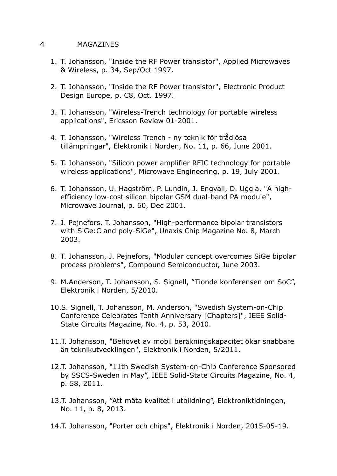#### 4 MAGAZINES

- 1. T. Johansson, "Inside the RF Power transistor", Applied Microwaves & Wireless, p. 34, Sep/Oct 1997.
- 2. T. Johansson, "Inside the RF Power transistor", Electronic Product Design Europe, p. C8, Oct. 1997.
- 3. T. Johansson, "Wireless-Trench technology for portable wireless applications", Ericsson Review 01-2001.
- 4. T. Johansson, "Wireless Trench ny teknik för trådlösa tillämpningar", Elektronik i Norden, No. 11, p. 66, June 2001.
- 5. T. Johansson, "Silicon power amplifier RFIC technology for portable wireless applications", Microwave Engineering, p. 19, July 2001.
- 6. T. Johansson, U. Hagström, P. Lundin, J. Engvall, D. Uggla, "A highefficiency low-cost silicon bipolar GSM dual-band PA module", Microwave Journal, p. 60, Dec 2001.
- 7. J. Pejnefors, T. Johansson, "High-performance bipolar transistors with SiGe:C and poly-SiGe", Unaxis Chip Magazine No. 8, March 2003.
- 8. T. Johansson, J. Pejnefors, "Modular concept overcomes SiGe bipolar process problems", Compound Semiconductor, June 2003.
- 9. M.Anderson, T. Johansson, S. Signell, "Tionde konferensen om SoC", Elektronik i Norden, 5/2010.
- 10.S. Signell, T. Johansson, M. Anderson, "Swedish System-on-Chip Conference Celebrates Tenth Anniversary [Chapters]", IEEE Solid-State Circuits Magazine, No. 4, p. 53, 2010.
- 11.T. Johansson, "Behovet av mobil beräkningskapacitet ökar snabbare än teknikutvecklingen", Elektronik i Norden, 5/2011.
- 12.T. Johansson, "11th Swedish System-on-Chip Conference Sponsored by SSCS-Sweden in May", IEEE Solid-State Circuits Magazine, No. 4, p. 58, 2011.
- 13.T. Johansson, "Att mäta kvalitet i utbildning", Elektroniktidningen, No. 11, p. 8, 2013.
- 14.T. Johansson, "Porter och chips", Elektronik i Norden, 2015-05-19.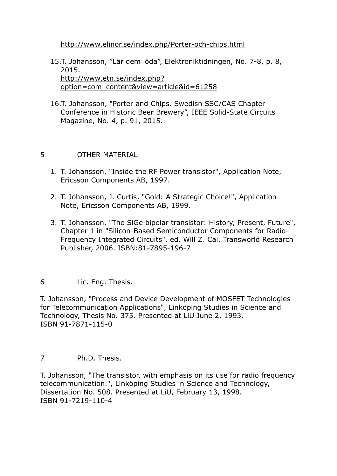<http://www.elinor.se/index.php/Porter-och-chips.html>

- 15.T. Johansson, "Lär dem löda", Elektroniktidningen, No. 7-8, p. 8, 2015. [http://www.etn.se/index.php?](http://www.etn.se/index.php?option=com_content&view=article&id=61258) [option=com\\_content&view=article&id=61258](http://www.etn.se/index.php?option=com_content&view=article&id=61258)
- 16.T. Johansson, "Porter and Chips. Swedish SSC/CAS Chapter Conference in Historic Beer Brewery", IEEE Solid-State Circuits Magazine, No. 4, p. 91, 2015.

## 5 OTHER MATERIAL

- 1. T. Johansson, "Inside the RF Power transistor", Application Note, Ericsson Components AB, 1997.
- 2. T. Johansson, J. Curtis, "Gold: A Strategic Choice!", Application Note, Ericsson Components AB, 1999.
- 3. T. Johansson, "The SiGe bipolar transistor: History, Present, Future", Chapter 1 in "Silicon-Based Semiconductor Components for Radio-Frequency Integrated Circuits", ed. Will Z. Cai, Transworld Research Publisher, 2006. ISBN:81-7895-196-7

## 6 Lic. Eng. Thesis.

T. Johansson, "Process and Device Development of MOSFET Technologies for Telecommunication Applications", Linköping Studies in Science and Technology, Thesis No. 375. Presented at LiU June 2, 1993. ISBN 91-7871-115-0

7 Ph.D. Thesis.

T. Johansson, "The transistor, with emphasis on its use for radio frequency telecommunication.", Linköping Studies in Science and Technology, Dissertation No. 508. Presented at LiU, February 13, 1998. ISBN 91-7219-110-4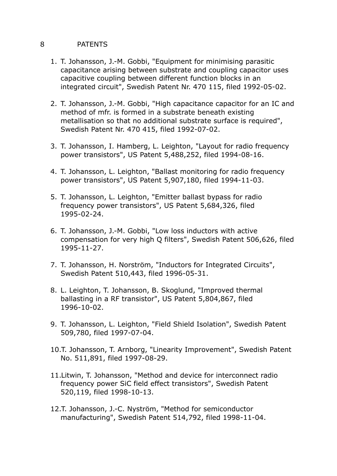### 8 PATENTS

- 1. T. Johansson, J.-M. Gobbi, "Equipment for minimising parasitic capacitance arising between substrate and coupling capacitor uses capacitive coupling between different function blocks in an integrated circuit", Swedish Patent Nr. 470 115, filed 1992-05-02.
- 2. T. Johansson, J.-M. Gobbi, "High capacitance capacitor for an IC and method of mfr. is formed in a substrate beneath existing metallisation so that no additional substrate surface is required", Swedish Patent Nr. 470 415, filed 1992-07-02.
- 3. T. Johansson, I. Hamberg, L. Leighton, "Layout for radio frequency power transistors", US Patent 5,488,252, filed 1994-08-16.
- 4. T. Johansson, L. Leighton, "Ballast monitoring for radio frequency power transistors", US Patent 5,907,180, filed 1994-11-03.
- 5. T. Johansson, L. Leighton, "Emitter ballast bypass for radio frequency power transistors", US Patent 5,684,326, filed 1995-02-24.
- 6. T. Johansson, J.-M. Gobbi, "Low loss inductors with active compensation for very high Q filters", Swedish Patent 506,626, filed 1995-11-27.
- 7. T. Johansson, H. Norström, "Inductors for Integrated Circuits", Swedish Patent 510,443, filed 1996-05-31.
- 8. L. Leighton, T. Johansson, B. Skoglund, "Improved thermal ballasting in a RF transistor", US Patent 5,804,867, filed 1996-10-02.
- 9. T. Johansson, L. Leighton, "Field Shield Isolation", Swedish Patent 509,780, filed 1997-07-04.
- 10.T. Johansson, T. Arnborg, "Linearity Improvement", Swedish Patent No. 511,891, filed 1997-08-29.
- 11.Litwin, T. Johansson, "Method and device for interconnect radio frequency power SiC field effect transistors", Swedish Patent 520,119, filed 1998-10-13.
- 12.T. Johansson, J.-C. Nyström, "Method for semiconductor manufacturing", Swedish Patent 514,792, filed 1998-11-04.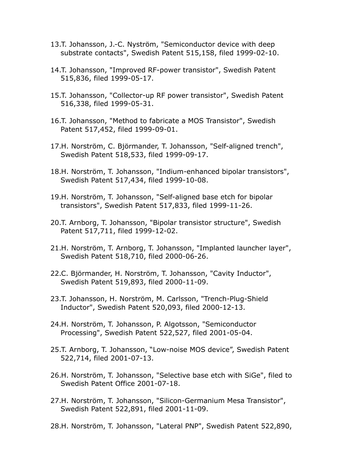- 13.T. Johansson, J.-C. Nyström, "Semiconductor device with deep substrate contacts", Swedish Patent 515,158, filed 1999-02-10.
- 14.T. Johansson, "Improved RF-power transistor", Swedish Patent 515,836, filed 1999-05-17.
- 15.T. Johansson, "Collector-up RF power transistor", Swedish Patent 516,338, filed 1999-05-31.
- 16.T. Johansson, "Method to fabricate a MOS Transistor", Swedish Patent 517,452, filed 1999-09-01.
- 17.H. Norström, C. Björmander, T. Johansson, "Self-aligned trench", Swedish Patent 518,533, filed 1999-09-17.
- 18.H. Norström, T. Johansson, "Indium-enhanced bipolar transistors", Swedish Patent 517,434, filed 1999-10-08.
- 19.H. Norström, T. Johansson, "Self-aligned base etch for bipolar transistors", Swedish Patent 517,833, filed 1999-11-26.
- 20.T. Arnborg, T. Johansson, "Bipolar transistor structure", Swedish Patent 517,711, filed 1999-12-02.
- 21.H. Norström, T. Arnborg, T. Johansson, "Implanted launcher layer", Swedish Patent 518,710, filed 2000-06-26.
- 22.C. Björmander, H. Norström, T. Johansson, "Cavity Inductor", Swedish Patent 519,893, filed 2000-11-09.
- 23.T. Johansson, H. Norström, M. Carlsson, "Trench-Plug-Shield Inductor", Swedish Patent 520,093, filed 2000-12-13.
- 24.H. Norström, T. Johansson, P. Algotsson, "Semiconductor Processing", Swedish Patent 522,527, filed 2001-05-04.
- 25.T. Arnborg, T. Johansson, "Low-noise MOS device", Swedish Patent 522,714, filed 2001-07-13.
- 26.H. Norström, T. Johansson, "Selective base etch with SiGe", filed to Swedish Patent Office 2001-07-18.
- 27.H. Norström, T. Johansson, "Silicon-Germanium Mesa Transistor", Swedish Patent 522,891, filed 2001-11-09.
- 28.H. Norström, T. Johansson, "Lateral PNP", Swedish Patent 522,890,